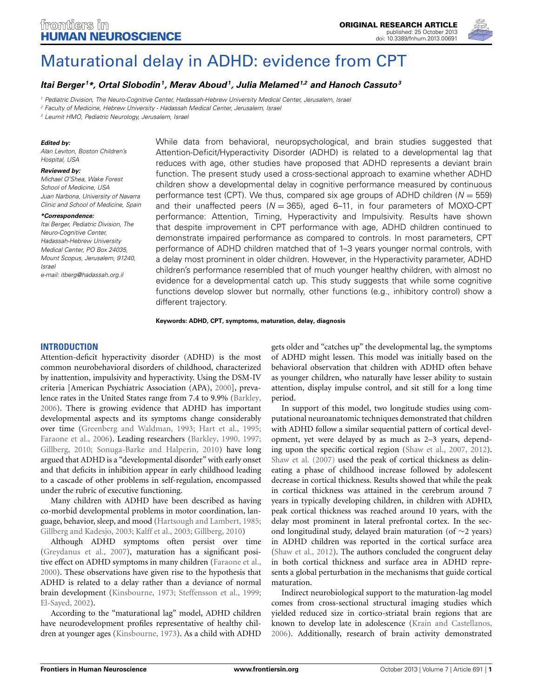

# [Maturational delay in ADHD: evidence from CPT](http://www.frontiersin.org/journal/10.3389/fnhum.2013.00691/abstract)

## *[Itai Berger](http://www.frontiersin.org/people/u/69549) <sup>1</sup> \*, [Ortal Slobodin1](http://community.frontiersin.org/people/OrtalSlobodin/117872), [Merav Aboud](http://community.frontiersin.org/people/MeravAboud/117918)1, [Julia Melamed1](http://www.frontiersin.org/people/u/108413),2 and [Hanoch Cassuto3](http://community.frontiersin.org/people/HanochCassuto/115487)*

*<sup>1</sup> Pediatric Division, The Neuro-Cognitive Center, Hadassah-Hebrew University Medical Center, Jerusalem, Israel*

*<sup>2</sup> Faculty of Medicine, Hebrew University - Hadassah Medical Center, Jerusalem, Israel*

*<sup>3</sup> Leumit HMO, Pediatric Neurology, Jerusalem, Israel*

#### *Edited by:*

*Alan Leviton, Boston Children's Hospital, USA*

#### *Reviewed by:*

*Michael O'Shea, Wake Forest School of Medicine, USA Juan Narbona, University of Navarra Clinic and School of Medicine, Spain*

#### *\*Correspondence:*

*Itai Berger, Pediatric Division, The Neuro-Cognitive Center, Hadassah-Hebrew University Medical Center, PO Box 24035, Mount Scopus, Jerusalem, 91240, Israel e-mail: [itberg@hadassah.org.il](mailto:itberg@hadassah.org.il)*

While data from behavioral, neuropsychological, and brain studies suggested that Attention-Deficit/Hyperactivity Disorder (ADHD) is related to a developmental lag that reduces with age, other studies have proposed that ADHD represents a deviant brain function. The present study used a cross-sectional approach to examine whether ADHD children show a developmental delay in cognitive performance measured by continuous performance test (CPT). We thus, compared six age groups of ADHD children (*N* = 559) and their unaffected peers (*N* = 365), aged 6–11, in four parameters of MOXO-CPT performance: Attention, Timing, Hyperactivity and Impulsivity. Results have shown that despite improvement in CPT performance with age, ADHD children continued to demonstrate impaired performance as compared to controls. In most parameters, CPT performance of ADHD children matched that of 1–3 years younger normal controls, with a delay most prominent in older children. However, in the Hyperactivity parameter, ADHD children's performance resembled that of much younger healthy children, with almost no evidence for a developmental catch up. This study suggests that while some cognitive functions develop slower but normally, other functions (e.g., inhibitory control) show a different trajectory.

**Keywords: ADHD, CPT, symptoms, maturation, delay, diagnosis**

#### **INTRODUCTION**

Attention-deficit hyperactivity disorder (ADHD) is the most common neurobehavioral disorders of childhood, characterized by inattention, impulsivity and hyperactivity. Using the DSM-IV criteria [American Psychiatric Association (APA), [2000](#page-7-0)], prevalence rates in the United States range from 7.4 to 9.9% [\(Barkley,](#page-7-1) [2006](#page-7-1)). There is growing evidence that ADHD has important developmental aspects and its symptoms change considerably over time [\(Greenberg and Waldman, 1993;](#page-7-2) [Hart et al., 1995;](#page-7-3) [Faraone et al.](#page-7-4), [2006](#page-7-4)). Leading researchers [\(Barkley, 1990,](#page-7-5) [1997;](#page-7-6) [Gillberg, 2010](#page-7-7); [Sonuga-Barke and Halperin, 2010\)](#page-8-0) have long argued that ADHD is a "developmental disorder" with early onset and that deficits in inhibition appear in early childhood leading to a cascade of other problems in self-regulation, encompassed under the rubric of executive functioning.

Many children with ADHD have been described as having co-morbid developmental problems in motor coordination, language, behavior, sleep, and mood [\(Hartsough and Lambert](#page-7-8), [1985;](#page-7-8) [Gillberg and Kadesjo, 2003](#page-7-9); [Kalff et al.](#page-7-10), [2003;](#page-7-10) [Gillberg, 2010\)](#page-7-7)

Although ADHD symptoms often persist over time [\(Greydanus et al., 2007](#page-7-11)), maturation has a significant positive effect on ADHD symptoms in many children [\(Faraone et al.,](#page-7-12) [2000](#page-7-12)). These observations have given rise to the hypothesis that ADHD is related to a delay rather than a deviance of normal brain development [\(Kinsbourne](#page-7-13), [1973](#page-7-13); [Steffensson et al., 1999;](#page-8-1) [El-Sayed, 2002\)](#page-7-14).

According to the "maturational lag" model, ADHD children have neurodevelopment profiles representative of healthy children at younger ages [\(Kinsbourne, 1973](#page-7-13)). As a child with ADHD

gets older and "catches up" the developmental lag, the symptoms of ADHD might lessen. This model was initially based on the behavioral observation that children with ADHD often behave as younger children, who naturally have lesser ability to sustain attention, display impulse control, and sit still for a long time period.

In support of this model, two longitude studies using computational neuroanatomic techniques demonstrated that children with ADHD follow a similar sequential pattern of cortical development, yet were delayed by as much as 2–3 years, depending upon the specific cortical region [\(Shaw et al., 2007,](#page-8-2) [2012](#page-8-3)). [Shaw et al.](#page-8-2) [\(2007\)](#page-8-2) used the peak of cortical thickness as delineating a phase of childhood increase followed by adolescent decrease in cortical thickness. Results showed that while the peak in cortical thickness was attained in the cerebrum around 7 years in typically developing children, in children with ADHD, peak cortical thickness was reached around 10 years, with the delay most prominent in lateral prefrontal cortex. In the second longitudinal study, delayed brain maturation (of ∼2 years) in ADHD children was reported in the cortical surface area [\(Shaw et al.](#page-8-3), [2012](#page-8-3)). The authors concluded the congruent delay in both cortical thickness and surface area in ADHD represents a global perturbation in the mechanisms that guide cortical maturation.

Indirect neurobiological support to the maturation-lag model comes from cross-sectional structural imaging studies which yielded reduced size in cortico-striatal brain regions that are known to develop late in adolescence [\(Krain and Castellanos,](#page-7-15) [2006](#page-7-15)). Additionally, research of brain activity demonstrated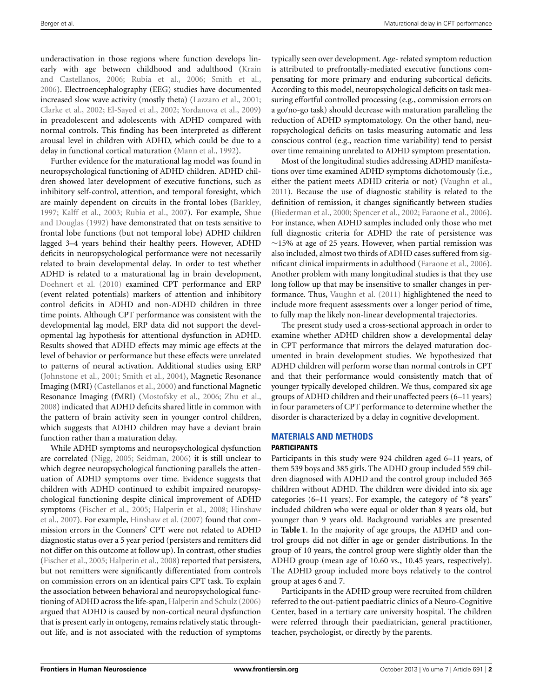underactivation in those regions where function develops linearly with age [between](#page-7-15) [childhood](#page-7-15) [and](#page-7-15) [adulthood](#page-7-15) [\(](#page-7-15)Krain and Castellanos, [2006](#page-7-15); [Rubia et al.](#page-8-4), [2006](#page-8-4); [Smith et al.](#page-8-5), [2006](#page-8-5)). Electroencephalography (EEG) studies have documented increased slow wave activity (mostly theta) [\(Lazzaro et al.](#page-7-16), [2001;](#page-7-16) [Clarke et al.](#page-7-17), [2002;](#page-7-17) [El-Sayed et al.](#page-7-18), [2002;](#page-7-18) [Yordanova et al., 2009](#page-8-6)) in preadolescent and adolescents with ADHD compared with normal controls. This finding has been interpreted as different arousal level in children with ADHD, which could be due to a delay in functional cortical maturation [\(Mann et al., 1992\)](#page-8-7).

Further evidence for the maturational lag model was found in neuropsychological functioning of ADHD children. ADHD children showed later development of executive functions, such as inhibitory self-control, attention, and temporal foresight, which are mainly dependent on circuits in the frontal lobes [\(Barkley](#page-7-6), [1997](#page-7-6); [Kalff et al.](#page-7-10)[,](#page-8-9) [2003](#page-7-10)[;](#page-8-9) [Rubia et al.](#page-8-8)[,](#page-8-9) [2007\)](#page-8-8)[. For example,](#page-8-9) Shue and Douglas [\(1992](#page-8-9)) have demonstrated that on tests sensitive to frontal lobe functions (but not temporal lobe) ADHD children lagged 3–4 years behind their healthy peers. However, ADHD deficits in neuropsychological performance were not necessarily related to brain developmental delay. In order to test whether ADHD is related to a maturational lag in brain development, [Doehnert et al.](#page-7-19) [\(2010](#page-7-19)) examined CPT performance and ERP (event related potentials) markers of attention and inhibitory control deficits in ADHD and non-ADHD children in three time points. Although CPT performance was consistent with the developmental lag model, ERP data did not support the developmental lag hypothesis for attentional dysfunction in ADHD. Results showed that ADHD effects may mimic age effects at the level of behavior or performance but these effects were unrelated to patterns of neural activation. Additional studies using ERP [\(Johnstone et al.](#page-7-20), [2001;](#page-7-20) [Smith et al.](#page-8-10), [2004](#page-8-10)), Magnetic Resonance Imaging (MRI) [\(Castellanos et al.](#page-7-21), [2000\)](#page-7-21) and functional Magnetic Resonance Imaging (fMRI) [\(Mostofsky et al., 2006;](#page-8-11) [Zhu et al.](#page-8-12), [2008](#page-8-12)) indicated that ADHD deficits shared little in common with the pattern of brain activity seen in younger control children, which suggests that ADHD children may have a deviant brain function rather than a maturation delay.

While ADHD symptoms and neuropsychological dysfunction are correlated [\(Nigg](#page-8-13), [2005](#page-8-13); [Seidman](#page-8-14), [2006](#page-8-14)) it is still unclear to which degree neuropsychological functioning parallels the attenuation of ADHD symptoms over time. Evidence suggests that children with ADHD continued to exhibit impaired neuropsychological functioning despite clinical improvement of ADHD sym[ptoms](#page-7-24) [\(Fischer et al.](#page-7-22)[,](#page-7-24) [2005](#page-7-22)[;](#page-7-24) [Halperin et al.](#page-7-23)[,](#page-7-24) [2008](#page-7-23)[;](#page-7-24) Hinshaw et al., [2007\)](#page-7-24). For example, [Hinshaw et al.](#page-7-24) [\(2007](#page-7-24)) found that commission errors in the Conners' CPT were not related to ADHD diagnostic status over a 5 year period (persisters and remitters did not differ on this outcome at follow up). In contrast, other studies [\(Fischer et al.](#page-7-22), [2005;](#page-7-22) [Halperin et al., 2008](#page-7-23)) reported that persisters, but not remitters were significantly differentiated from controls on commission errors on an identical pairs CPT task. To explain the association between behavioral and neuropsychological functioning of ADHD across the life-span, [Halperin and Schulz](#page-7-25) [\(2006](#page-7-25)) argued that ADHD is caused by non-cortical neural dysfunction that is present early in ontogeny, remains relatively static throughout life, and is not associated with the reduction of symptoms

typically seen over development. Age- related symptom reduction is attributed to prefrontally-mediated executive functions compensating for more primary and enduring subcortical deficits. According to this model, neuropsychological deficits on task measuring effortful controlled processing (e.g., commission errors on a go/no-go task) should decrease with maturation paralleling the reduction of ADHD symptomatology. On the other hand, neuropsychological deficits on tasks measuring automatic and less conscious control (e.g., reaction time variability) tend to persist over time remaining unrelated to ADHD symptom presentation.

Most of the longitudinal studies addressing ADHD manifestations over time examined ADHD symptoms dichotomously (i.e., either the patient meets ADHD criteria or not) [\(Vaughn et al.](#page-8-15), [2011](#page-8-15)). Because the use of diagnostic stability is related to the definition of remission, it changes significantly between studies [\(Biederman et al.](#page-7-26), [2000](#page-7-26); [Spencer et al.](#page-8-16), [2002;](#page-8-16) [Faraone et al.](#page-7-4), [2006\)](#page-7-4). For instance, when ADHD samples included only those who met full diagnostic criteria for ADHD the rate of persistence was ∼15% at age of 25 years. However, when partial remission was also included, almost two thirds of ADHD cases suffered from significant clinical impairments in adulthood [\(Faraone et al.](#page-7-4), [2006\)](#page-7-4). Another problem with many longitudinal studies is that they use long follow up that may be insensitive to smaller changes in performance. Thus, [Vaughn et al.](#page-8-15) [\(2011](#page-8-15)) highlightened the need to include more frequent assessments over a longer period of time, to fully map the likely non-linear developmental trajectories.

The present study used a cross-sectional approach in order to examine whether ADHD children show a developmental delay in CPT performance that mirrors the delayed maturation documented in brain development studies. We hypothesized that ADHD children will perform worse than normal controls in CPT and that their performance would consistently match that of younger typically developed children. We thus, compared six age groups of ADHD children and their unaffected peers (6–11 years) in four parameters of CPT performance to determine whether the disorder is characterized by a delay in cognitive development.

#### **MATERIALS AND METHODS**

#### **PARTICIPANTS**

Participants in this study were 924 children aged 6–11 years, of them 539 boys and 385 girls. The ADHD group included 559 children diagnosed with ADHD and the control group included 365 children without ADHD. The children were divided into six age categories (6–11 years). For example, the category of "8 years" included children who were equal or older than 8 years old, but younger than 9 years old. Background variables are presented in **[Table 1](#page-2-0)**. In the majority of age groups, the ADHD and control groups did not differ in age or gender distributions. In the group of 10 years, the control group were slightly older than the ADHD group (mean age of 10.60 vs., 10.45 years, respectively). The ADHD group included more boys relatively to the control group at ages 6 and 7.

Participants in the ADHD group were recruited from children referred to the out-patient paediatric clinics of a Neuro-Cognitive Center, based in a tertiary care university hospital. The children were referred through their paediatrician, general practitioner, teacher, psychologist, or directly by the parents.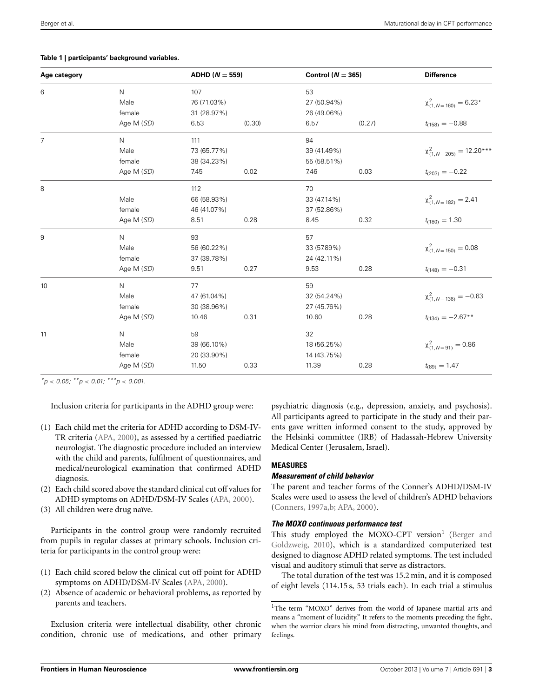| Age category   |              | ADHD ( $N = 559$ ) |        | Control ( $N = 365$ ) |        | <b>Difference</b>               |
|----------------|--------------|--------------------|--------|-----------------------|--------|---------------------------------|
| 6              | $\mathsf{N}$ | 107                |        | 53                    |        |                                 |
|                | Male         | 76 (71.03%)        |        | 27 (50.94%)           |        | $\chi^2_{(1,N=160)} = 6.23*$    |
|                | female       | 31 (28.97%)        |        | 26 (49.06%)           |        |                                 |
|                | Age M (SD)   | 6.53               | (0.30) | 6.57                  | (0.27) | $t_{(158)} = -0.88$             |
| $\overline{7}$ | N            | 111                |        | 94                    |        |                                 |
|                | Male         | 73 (65.77%)        |        | 39 (41.49%)           |        | $\chi^2_{(1,N=205)} = 12.20***$ |
|                | female       | 38 (34.23%)        |        | 55 (58.51%)           |        |                                 |
|                | Age M (SD)   | 7.45               | 0.02   | 7.46                  | 0.03   | $t_{(203)} = -0.22$             |
| 8              |              | 112                |        | 70                    |        |                                 |
|                | Male         | 66 (58.93%)        |        | 33 (47.14%)           |        | $\chi^2_{(1,N=182)} = 2.41$     |
|                | female       | 46 (41.07%)        |        | 37 (52.86%)           |        |                                 |
|                | Age M (SD)   | 8.51               | 0.28   | 8.45                  | 0.32   | $t_{(180)} = 1.30$              |
| 9              | $\mathsf{N}$ | 93                 |        | 57                    |        |                                 |
|                | Male         | 56 (60.22%)        |        | 33 (57.89%)           |        | $\chi^2_{(1,N=150)} = 0.08$     |
|                | female       | 37 (39.78%)        |        | 24 (42.11%)           |        |                                 |
|                | Age M (SD)   | 9.51               | 0.27   | 9.53                  | 0.28   | $t_{(148)} = -0.31$             |
| 10             | $\mathsf{N}$ | 77                 |        | 59                    |        |                                 |
|                | Male         | 47 (61.04%)        |        | 32 (54.24%)           |        | $\chi^2_{(1,N=136)} = -0.63$    |
|                | female       | 30 (38.96%)        |        | 27 (45.76%)           |        |                                 |
|                | Age M (SD)   | 10.46              | 0.31   | 10.60                 | 0.28   | $t_{(134)} = -2.67**$           |
| 11             | $\mathsf{N}$ | 59                 |        | 32                    |        |                                 |
|                | Male         | 39 (66.10%)        |        | 18 (56.25%)           |        | $\chi^2_{(1,N=91)} = 0.86$      |
|                | female       | 20 (33.90%)        |        | 14 (43.75%)           |        |                                 |
|                | Age M (SD)   | 11.50              | 0.33   | 11.39                 | 0.28   | $t_{(89)} = 1.47$               |

#### <span id="page-2-0"></span>**Table 1 | participants' background variables.**

*\*p < 0.05; \*\*p < 0.01; \*\*\*p < 0.001.*

Inclusion criteria for participants in the ADHD group were:

- (1) Each child met the criteria for ADHD according to DSM-IV-TR criteria [\(APA](#page-7-0), [2000](#page-7-0)), as assessed by a certified paediatric neurologist. The diagnostic procedure included an interview with the child and parents, fulfilment of questionnaires, and medical/neurological examination that confirmed ADHD diagnosis.
- (2) Each child scored above the standard clinical cut off values for ADHD symptoms on ADHD/DSM-IV Scales [\(APA, 2000](#page-7-0)).
- (3) All children were drug naïve.

Participants in the control group were randomly recruited from pupils in regular classes at primary schools. Inclusion criteria for participants in the control group were:

- (1) Each child scored below the clinical cut off point for ADHD symptoms on ADHD/DSM-IV Scales [\(APA](#page-7-0), [2000\)](#page-7-0).
- (2) Absence of academic or behavioral problems, as reported by parents and teachers.

Exclusion criteria were intellectual disability, other chronic condition, chronic use of medications, and other primary psychiatric diagnosis (e.g., depression, anxiety, and psychosis). All participants agreed to participate in the study and their parents gave written informed consent to the study, approved by the Helsinki committee (IRB) of Hadassah-Hebrew University Medical Center (Jerusalem, Israel).

## **MEASURES**

## *Measurement of child behavior*

The parent and teacher forms of the Conner's ADHD/DSM-IV Scales were used to assess the level of children's ADHD behaviors [\(Conners, 1997a](#page-7-27)[,b;](#page-7-28) [APA](#page-7-0), [2000\)](#page-7-0).

## <span id="page-2-1"></span>*The MOXO continuous performance test*

This stud[y employed the MOXO-CPT versio](#page-7-29)[n](#page-2-1)<sup>1</sup> (Berger and Goldzweig, [2010\)](#page-7-29), which is a standardized computerized test designed to diagnose ADHD related symptoms. The test included visual and auditory stimuli that serve as distractors.

The total duration of the test was 15.2 min, and it is composed of eight levels (114.15 s, 53 trials each). In each trial a stimulus

<sup>&</sup>lt;sup>1</sup>The term "MOXO" derives from the world of Japanese martial arts and means a "moment of lucidity." It refers to the moments preceding the fight, when the warrior clears his mind from distracting, unwanted thoughts, and feelings.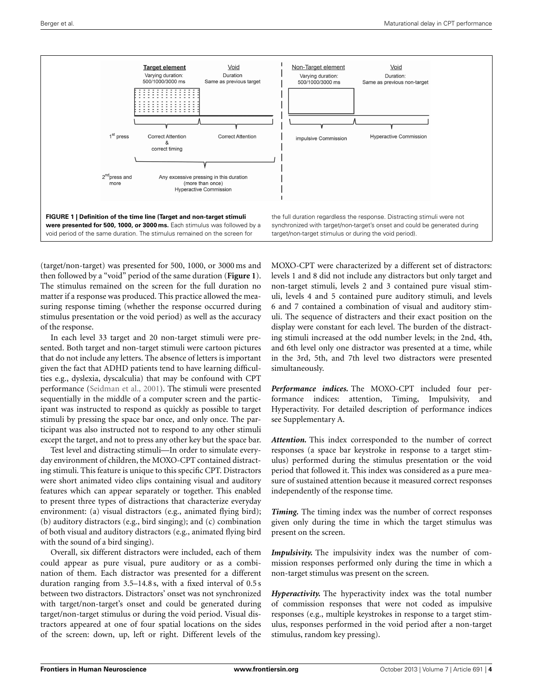

<span id="page-3-0"></span>(target/non-target) was presented for 500, 1000, or 3000 ms and then followed by a "void" period of the same duration (**[Figure 1](#page-3-0)**). The stimulus remained on the screen for the full duration no matter if a response was produced. This practice allowed the measuring response timing (whether the response occurred during stimulus presentation or the void period) as well as the accuracy of the response.

In each level 33 target and 20 non-target stimuli were presented. Both target and non-target stimuli were cartoon pictures that do not include any letters. The absence of letters is important given the fact that ADHD patients tend to have learning difficulties e.g., dyslexia, dyscalculia) that may be confound with CPT performance [\(Seidman et al.](#page-8-17), [2001\)](#page-8-17). The stimuli were presented sequentially in the middle of a computer screen and the participant was instructed to respond as quickly as possible to target stimuli by pressing the space bar once, and only once. The participant was also instructed not to respond to any other stimuli except the target, and not to press any other key but the space bar.

Test level and distracting stimuli—In order to simulate everyday environment of children, the MOXO-CPT contained distracting stimuli. This feature is unique to this specific CPT. Distractors were short animated video clips containing visual and auditory features which can appear separately or together. This enabled to present three types of distractions that characterize everyday environment: (a) visual distractors (e.g., animated flying bird); (b) auditory distractors (e.g., bird singing); and (c) combination of both visual and auditory distractors (e.g., animated flying bird with the sound of a bird singing).

Overall, six different distractors were included, each of them could appear as pure visual, pure auditory or as a combination of them. Each distractor was presented for a different duration ranging from 3.5–14.8 s, with a fixed interval of 0.5 s between two distractors. Distractors' onset was not synchronized with target/non-target's onset and could be generated during target/non-target stimulus or during the void period. Visual distractors appeared at one of four spatial locations on the sides of the screen: down, up, left or right. Different levels of the

MOXO-CPT were characterized by a different set of distractors: levels 1 and 8 did not include any distractors but only target and non-target stimuli, levels 2 and 3 contained pure visual stimuli, levels 4 and 5 contained pure auditory stimuli, and levels 6 and 7 contained a combination of visual and auditory stimuli. The sequence of distracters and their exact position on the display were constant for each level. The burden of the distracting stimuli increased at the odd number levels; in the 2nd, 4th, and 6th level only one distractor was presented at a time, while in the 3rd, 5th, and 7th level two distractors were presented simultaneously.

*Performance indices.* The MOXO-CPT included four performance indices: attention, Timing, Impulsivity, and Hyperactivity. For detailed description of performance indices see Supplementary A.

*Attention.* This index corresponded to the number of correct responses (a space bar keystroke in response to a target stimulus) performed during the stimulus presentation or the void period that followed it. This index was considered as a pure measure of sustained attention because it measured correct responses independently of the response time.

*Timing.* The timing index was the number of correct responses given only during the time in which the target stimulus was present on the screen.

*Impulsivity.* The impulsivity index was the number of commission responses performed only during the time in which a non-target stimulus was present on the screen.

*Hyperactivity.* The hyperactivity index was the total number of commission responses that were not coded as impulsive responses (e.g., multiple keystrokes in response to a target stimulus, responses performed in the void period after a non-target stimulus, random key pressing).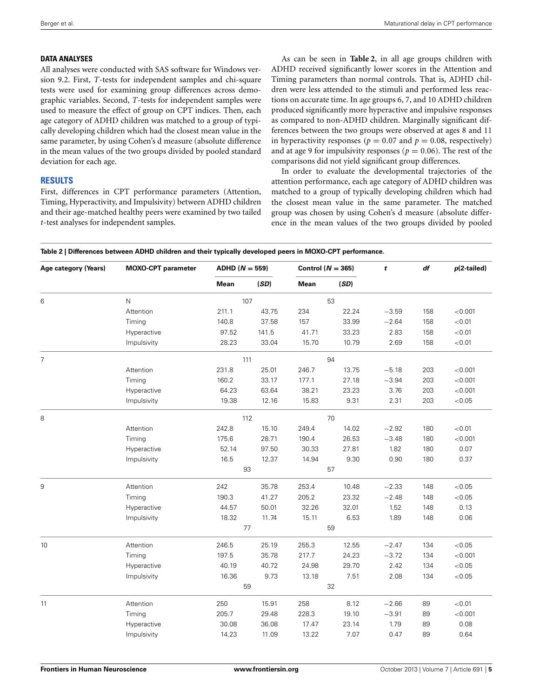#### **DATA ANALYSES**

All analyses were conducted with SAS software for Windows version 9.2. First, *T*-tests for independent samples and chi-square tests were used for examining group differences across demographic variables. Second, *T*-tests for independent samples were used to measure the effect of group on CPT indices. Then, each age category of ADHD children was matched to a group of typically developing children which had the closest mean value in the same parameter, by using Cohen's d measure (absolute difference in the mean values of the two groups divided by pooled standard deviation for each age.

## **RESULTS**

First, differences in CPT performance parameters (Attention, Timing, Hyperactivity, and Impulsivity) between ADHD children and their age-matched healthy peers were examined by two tailed *t*-test analyses for independent samples.

As can be seen in **[Table 2](#page-4-0)**, in all age groups children with ADHD received significantly lower scores in the Attention and Timing parameters than normal controls. That is, ADHD children were less attended to the stimuli and performed less reactions on accurate time. In age groups 6, 7, and 10 ADHD children produced significantly more hyperactive and impulsive responses as compared to non-ADHD children. Marginally significant differences between the two groups were observed at ages 8 and 11 in hyperactivity responses ( $p = 0.07$  and  $p = 0.08$ , respectively) and at age 9 for impulsivity responses ( $p = 0.06$ ). The rest of the comparisons did not yield significant group differences.

In order to evaluate the developmental trajectories of the attention performance, each age category of ADHD children was matched to a group of typically developing children which had the closest mean value in the same parameter. The matched group was chosen by using Cohen's d measure (absolute difference in the mean values of the two groups divided by pooled

<span id="page-4-0"></span>

| Table 2   Differences between ADHD children and their typically developed peers in MOXO-CPT performance. |  |
|----------------------------------------------------------------------------------------------------------|--|
|                                                                                                          |  |

| Mean<br>(SD)<br>Mean<br>(SD)<br>$\mathsf{N}$<br>107<br>53<br>6<br>22.24<br>Attention<br>211.1<br>43.75<br>234<br>$-3.59$<br>158<br>< 0.001<br>37.58<br>157<br>33.99<br>$-2.64$<br>< 0.01<br>Timing<br>140.8<br>158<br>141.5<br>41.71<br>33.23<br>< 0.01<br>Hyperactive<br>97.52<br>2.83<br>158<br>28.23<br>15.70<br>10.79<br>< 0.01<br>Impulsivity<br>33.04<br>2.69<br>158<br>$\overline{7}$<br>94<br>111<br>25.01<br>< 0.001<br>Attention<br>231.8<br>246.7<br>13.75<br>$-5.18$<br>203<br>27.18<br>$-3.94$<br>< 0.001<br>Timing<br>160.2<br>33.17<br>177.1<br>203<br>Hyperactive<br>64.23<br>63.64<br>38.21<br>23.23<br>203<br>< 0.001<br>3.76<br>9.31<br>203<br>< 0.05<br>Impulsivity<br>19.38<br>12.16<br>15.83<br>2.31<br>112<br>70<br>242.8<br>249.4<br>Attention<br>15.10<br>14.02<br>$-2.92$<br>180<br>< 0.01<br>Timing<br>175.6<br>28.71<br>190.4<br>26.53<br>$-3.48$<br>< 0.001<br>180<br>Hyperactive<br>0.07<br>52.14<br>97.50<br>30.33<br>27.81<br>1.82<br>180<br>Impulsivity<br>16.5<br>12.37<br>14.94<br>9.30<br>0.90<br>180<br>0.37<br>93<br>57<br>< 0.05<br>9<br>Attention<br>242<br>35.78<br>253.4<br>10.48<br>$-2.33$<br>148<br>205.2<br>< 0.05<br>Timing<br>190.3<br>41.27<br>23.32<br>$-2.48$<br>148<br>50.01<br>32.26<br>32.01<br>0.13<br>Hyperactive<br>44.57<br>1.52<br>148<br>Impulsivity<br>18.32<br>11.74<br>15.11<br>6.53<br>1.89<br>0.06<br>148<br>$77 \,$<br>59<br>Attention<br>< 0.05<br>246.5<br>25.19<br>255.3<br>12.55<br>$-2.47$<br>134<br>Timing<br>197.5<br>35.78<br>217.7<br>24.23<br>$-3.72$<br>< 0.001<br>134<br>40.72<br>< 0.05<br>Hyperactive<br>40.19<br>24.98<br>29.70<br>2.42<br>134<br>9.73<br>< 0.05<br>Impulsivity<br>16.36<br>13.18<br>7.51<br>2.08<br>134<br>59<br>32<br>Attention<br>< 0.01<br>250<br>15.91<br>258<br>8.12<br>$-2.66$<br>89<br>205.7<br>$-3.91$<br>Timing<br>29.48<br>228.3<br>19.10<br>< 0.001<br>89<br>0.08<br>36.08<br>17.47<br>23.14<br>1.79<br>Hyperactive<br>30.08<br>89<br>0.64<br>11.09<br>7.07<br>Impulsivity<br>14.23<br>13.22<br>0.47<br>89 | Age category (Years) | <b>MOXO-CPT</b> parameter | ADHD ( $N = 559$ ) |  | Control ( $N = 365$ ) |  | t | df | $p(2-tailed)$ |
|-------------------------------------------------------------------------------------------------------------------------------------------------------------------------------------------------------------------------------------------------------------------------------------------------------------------------------------------------------------------------------------------------------------------------------------------------------------------------------------------------------------------------------------------------------------------------------------------------------------------------------------------------------------------------------------------------------------------------------------------------------------------------------------------------------------------------------------------------------------------------------------------------------------------------------------------------------------------------------------------------------------------------------------------------------------------------------------------------------------------------------------------------------------------------------------------------------------------------------------------------------------------------------------------------------------------------------------------------------------------------------------------------------------------------------------------------------------------------------------------------------------------------------------------------------------------------------------------------------------------------------------------------------------------------------------------------------------------------------------------------------------------------------------------------------------------------------------------------------------------------------------------------------------------------------------------------------------------------------------------------------------------------|----------------------|---------------------------|--------------------|--|-----------------------|--|---|----|---------------|
|                                                                                                                                                                                                                                                                                                                                                                                                                                                                                                                                                                                                                                                                                                                                                                                                                                                                                                                                                                                                                                                                                                                                                                                                                                                                                                                                                                                                                                                                                                                                                                                                                                                                                                                                                                                                                                                                                                                                                                                                                         |                      |                           |                    |  |                       |  |   |    |               |
|                                                                                                                                                                                                                                                                                                                                                                                                                                                                                                                                                                                                                                                                                                                                                                                                                                                                                                                                                                                                                                                                                                                                                                                                                                                                                                                                                                                                                                                                                                                                                                                                                                                                                                                                                                                                                                                                                                                                                                                                                         |                      |                           |                    |  |                       |  |   |    |               |
|                                                                                                                                                                                                                                                                                                                                                                                                                                                                                                                                                                                                                                                                                                                                                                                                                                                                                                                                                                                                                                                                                                                                                                                                                                                                                                                                                                                                                                                                                                                                                                                                                                                                                                                                                                                                                                                                                                                                                                                                                         |                      |                           |                    |  |                       |  |   |    |               |
|                                                                                                                                                                                                                                                                                                                                                                                                                                                                                                                                                                                                                                                                                                                                                                                                                                                                                                                                                                                                                                                                                                                                                                                                                                                                                                                                                                                                                                                                                                                                                                                                                                                                                                                                                                                                                                                                                                                                                                                                                         |                      |                           |                    |  |                       |  |   |    |               |
|                                                                                                                                                                                                                                                                                                                                                                                                                                                                                                                                                                                                                                                                                                                                                                                                                                                                                                                                                                                                                                                                                                                                                                                                                                                                                                                                                                                                                                                                                                                                                                                                                                                                                                                                                                                                                                                                                                                                                                                                                         |                      |                           |                    |  |                       |  |   |    |               |
|                                                                                                                                                                                                                                                                                                                                                                                                                                                                                                                                                                                                                                                                                                                                                                                                                                                                                                                                                                                                                                                                                                                                                                                                                                                                                                                                                                                                                                                                                                                                                                                                                                                                                                                                                                                                                                                                                                                                                                                                                         |                      |                           |                    |  |                       |  |   |    |               |
|                                                                                                                                                                                                                                                                                                                                                                                                                                                                                                                                                                                                                                                                                                                                                                                                                                                                                                                                                                                                                                                                                                                                                                                                                                                                                                                                                                                                                                                                                                                                                                                                                                                                                                                                                                                                                                                                                                                                                                                                                         |                      |                           |                    |  |                       |  |   |    |               |
|                                                                                                                                                                                                                                                                                                                                                                                                                                                                                                                                                                                                                                                                                                                                                                                                                                                                                                                                                                                                                                                                                                                                                                                                                                                                                                                                                                                                                                                                                                                                                                                                                                                                                                                                                                                                                                                                                                                                                                                                                         |                      |                           |                    |  |                       |  |   |    |               |
|                                                                                                                                                                                                                                                                                                                                                                                                                                                                                                                                                                                                                                                                                                                                                                                                                                                                                                                                                                                                                                                                                                                                                                                                                                                                                                                                                                                                                                                                                                                                                                                                                                                                                                                                                                                                                                                                                                                                                                                                                         |                      |                           |                    |  |                       |  |   |    |               |
|                                                                                                                                                                                                                                                                                                                                                                                                                                                                                                                                                                                                                                                                                                                                                                                                                                                                                                                                                                                                                                                                                                                                                                                                                                                                                                                                                                                                                                                                                                                                                                                                                                                                                                                                                                                                                                                                                                                                                                                                                         |                      |                           |                    |  |                       |  |   |    |               |
|                                                                                                                                                                                                                                                                                                                                                                                                                                                                                                                                                                                                                                                                                                                                                                                                                                                                                                                                                                                                                                                                                                                                                                                                                                                                                                                                                                                                                                                                                                                                                                                                                                                                                                                                                                                                                                                                                                                                                                                                                         |                      |                           |                    |  |                       |  |   |    |               |
|                                                                                                                                                                                                                                                                                                                                                                                                                                                                                                                                                                                                                                                                                                                                                                                                                                                                                                                                                                                                                                                                                                                                                                                                                                                                                                                                                                                                                                                                                                                                                                                                                                                                                                                                                                                                                                                                                                                                                                                                                         | 8                    |                           |                    |  |                       |  |   |    |               |
|                                                                                                                                                                                                                                                                                                                                                                                                                                                                                                                                                                                                                                                                                                                                                                                                                                                                                                                                                                                                                                                                                                                                                                                                                                                                                                                                                                                                                                                                                                                                                                                                                                                                                                                                                                                                                                                                                                                                                                                                                         |                      |                           |                    |  |                       |  |   |    |               |
|                                                                                                                                                                                                                                                                                                                                                                                                                                                                                                                                                                                                                                                                                                                                                                                                                                                                                                                                                                                                                                                                                                                                                                                                                                                                                                                                                                                                                                                                                                                                                                                                                                                                                                                                                                                                                                                                                                                                                                                                                         |                      |                           |                    |  |                       |  |   |    |               |
|                                                                                                                                                                                                                                                                                                                                                                                                                                                                                                                                                                                                                                                                                                                                                                                                                                                                                                                                                                                                                                                                                                                                                                                                                                                                                                                                                                                                                                                                                                                                                                                                                                                                                                                                                                                                                                                                                                                                                                                                                         |                      |                           |                    |  |                       |  |   |    |               |
|                                                                                                                                                                                                                                                                                                                                                                                                                                                                                                                                                                                                                                                                                                                                                                                                                                                                                                                                                                                                                                                                                                                                                                                                                                                                                                                                                                                                                                                                                                                                                                                                                                                                                                                                                                                                                                                                                                                                                                                                                         |                      |                           |                    |  |                       |  |   |    |               |
|                                                                                                                                                                                                                                                                                                                                                                                                                                                                                                                                                                                                                                                                                                                                                                                                                                                                                                                                                                                                                                                                                                                                                                                                                                                                                                                                                                                                                                                                                                                                                                                                                                                                                                                                                                                                                                                                                                                                                                                                                         |                      |                           |                    |  |                       |  |   |    |               |
|                                                                                                                                                                                                                                                                                                                                                                                                                                                                                                                                                                                                                                                                                                                                                                                                                                                                                                                                                                                                                                                                                                                                                                                                                                                                                                                                                                                                                                                                                                                                                                                                                                                                                                                                                                                                                                                                                                                                                                                                                         |                      |                           |                    |  |                       |  |   |    |               |
|                                                                                                                                                                                                                                                                                                                                                                                                                                                                                                                                                                                                                                                                                                                                                                                                                                                                                                                                                                                                                                                                                                                                                                                                                                                                                                                                                                                                                                                                                                                                                                                                                                                                                                                                                                                                                                                                                                                                                                                                                         |                      |                           |                    |  |                       |  |   |    |               |
|                                                                                                                                                                                                                                                                                                                                                                                                                                                                                                                                                                                                                                                                                                                                                                                                                                                                                                                                                                                                                                                                                                                                                                                                                                                                                                                                                                                                                                                                                                                                                                                                                                                                                                                                                                                                                                                                                                                                                                                                                         |                      |                           |                    |  |                       |  |   |    |               |
|                                                                                                                                                                                                                                                                                                                                                                                                                                                                                                                                                                                                                                                                                                                                                                                                                                                                                                                                                                                                                                                                                                                                                                                                                                                                                                                                                                                                                                                                                                                                                                                                                                                                                                                                                                                                                                                                                                                                                                                                                         |                      |                           |                    |  |                       |  |   |    |               |
|                                                                                                                                                                                                                                                                                                                                                                                                                                                                                                                                                                                                                                                                                                                                                                                                                                                                                                                                                                                                                                                                                                                                                                                                                                                                                                                                                                                                                                                                                                                                                                                                                                                                                                                                                                                                                                                                                                                                                                                                                         |                      |                           |                    |  |                       |  |   |    |               |
|                                                                                                                                                                                                                                                                                                                                                                                                                                                                                                                                                                                                                                                                                                                                                                                                                                                                                                                                                                                                                                                                                                                                                                                                                                                                                                                                                                                                                                                                                                                                                                                                                                                                                                                                                                                                                                                                                                                                                                                                                         | 10                   |                           |                    |  |                       |  |   |    |               |
|                                                                                                                                                                                                                                                                                                                                                                                                                                                                                                                                                                                                                                                                                                                                                                                                                                                                                                                                                                                                                                                                                                                                                                                                                                                                                                                                                                                                                                                                                                                                                                                                                                                                                                                                                                                                                                                                                                                                                                                                                         |                      |                           |                    |  |                       |  |   |    |               |
|                                                                                                                                                                                                                                                                                                                                                                                                                                                                                                                                                                                                                                                                                                                                                                                                                                                                                                                                                                                                                                                                                                                                                                                                                                                                                                                                                                                                                                                                                                                                                                                                                                                                                                                                                                                                                                                                                                                                                                                                                         |                      |                           |                    |  |                       |  |   |    |               |
|                                                                                                                                                                                                                                                                                                                                                                                                                                                                                                                                                                                                                                                                                                                                                                                                                                                                                                                                                                                                                                                                                                                                                                                                                                                                                                                                                                                                                                                                                                                                                                                                                                                                                                                                                                                                                                                                                                                                                                                                                         |                      |                           |                    |  |                       |  |   |    |               |
|                                                                                                                                                                                                                                                                                                                                                                                                                                                                                                                                                                                                                                                                                                                                                                                                                                                                                                                                                                                                                                                                                                                                                                                                                                                                                                                                                                                                                                                                                                                                                                                                                                                                                                                                                                                                                                                                                                                                                                                                                         |                      |                           |                    |  |                       |  |   |    |               |
|                                                                                                                                                                                                                                                                                                                                                                                                                                                                                                                                                                                                                                                                                                                                                                                                                                                                                                                                                                                                                                                                                                                                                                                                                                                                                                                                                                                                                                                                                                                                                                                                                                                                                                                                                                                                                                                                                                                                                                                                                         | 11                   |                           |                    |  |                       |  |   |    |               |
|                                                                                                                                                                                                                                                                                                                                                                                                                                                                                                                                                                                                                                                                                                                                                                                                                                                                                                                                                                                                                                                                                                                                                                                                                                                                                                                                                                                                                                                                                                                                                                                                                                                                                                                                                                                                                                                                                                                                                                                                                         |                      |                           |                    |  |                       |  |   |    |               |
|                                                                                                                                                                                                                                                                                                                                                                                                                                                                                                                                                                                                                                                                                                                                                                                                                                                                                                                                                                                                                                                                                                                                                                                                                                                                                                                                                                                                                                                                                                                                                                                                                                                                                                                                                                                                                                                                                                                                                                                                                         |                      |                           |                    |  |                       |  |   |    |               |
|                                                                                                                                                                                                                                                                                                                                                                                                                                                                                                                                                                                                                                                                                                                                                                                                                                                                                                                                                                                                                                                                                                                                                                                                                                                                                                                                                                                                                                                                                                                                                                                                                                                                                                                                                                                                                                                                                                                                                                                                                         |                      |                           |                    |  |                       |  |   |    |               |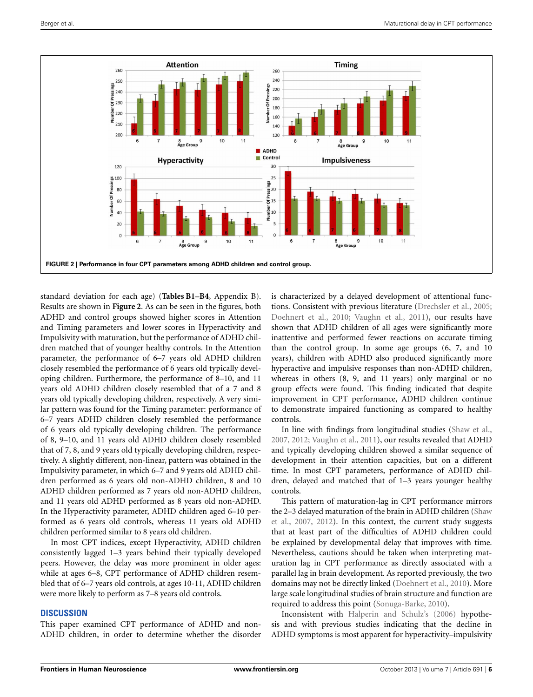

<span id="page-5-0"></span>standard deviation for each age) (**[Tables B1](#page-2-0)**–**[B4](#page-10-0)**, Appendix B). Results are shown in **[Figure 2](#page-5-0)**. As can be seen in the figures, both ADHD and control groups showed higher scores in Attention and Timing parameters and lower scores in Hyperactivity and Impulsivity with maturation, but the performance of ADHD children matched that of younger healthy controls. In the Attention parameter, the performance of 6–7 years old ADHD children closely resembled the performance of 6 years old typically developing children. Furthermore, the performance of 8–10, and 11 years old ADHD children closely resembled that of a 7 and 8 years old typically developing children, respectively. A very similar pattern was found for the Timing parameter: performance of 6–7 years ADHD children closely resembled the performance of 6 years old typically developing children. The performance of 8, 9–10, and 11 years old ADHD children closely resembled that of 7, 8, and 9 years old typically developing children, respectively. A slightly different, non-linear, pattern was obtained in the Impulsivity parameter, in which 6–7 and 9 years old ADHD children performed as 6 years old non-ADHD children, 8 and 10 ADHD children performed as 7 years old non-ADHD children, and 11 years old ADHD performed as 8 years old non-ADHD. In the Hyperactivity parameter, ADHD children aged 6–10 performed as 6 years old controls, whereas 11 years old ADHD children performed similar to 8 years old children.

In most CPT indices, except Hyperactivity, ADHD children consistently lagged 1–3 years behind their typically developed peers. However, the delay was more prominent in older ages: while at ages 6–8, CPT performance of ADHD children resembled that of 6–7 years old controls, at ages 10-11, ADHD children were more likely to perform as 7–8 years old controls.

#### **DISCUSSION**

This paper examined CPT performance of ADHD and non-ADHD children, in order to determine whether the disorder is characterized by a delayed development of attentional functions. Consistent with previous literature [\(Drechsler et al.](#page-7-30), [2005](#page-7-30); [Doehnert et al.](#page-7-19), [2010](#page-7-19); [Vaughn et al.](#page-8-15), [2011](#page-8-15)), our results have shown that ADHD children of all ages were significantly more inattentive and performed fewer reactions on accurate timing than the control group. In some age groups (6, 7, and 10 years), children with ADHD also produced significantly more hyperactive and impulsive responses than non-ADHD children, whereas in others (8, 9, and 11 years) only marginal or no group effects were found. This finding indicated that despite improvement in CPT performance, ADHD children continue to demonstrate impaired functioning as compared to healthy controls.

In line with findings from longitudinal studies [\(Shaw et al.](#page-8-2), [2007](#page-8-2), [2012](#page-8-3); [Vaughn et al.](#page-8-15), [2011](#page-8-15)), our results revealed that ADHD and typically developing children showed a similar sequence of development in their attention capacities, but on a different time. In most CPT parameters, performance of ADHD children, delayed and matched that of 1–3 years younger healthy controls.

This pattern of maturation-lag in CPT performance mirrors the 2[–3](#page-8-2) [delayed](#page-8-2) [maturation](#page-8-2) [of](#page-8-2) [the](#page-8-2) [brain](#page-8-2) [in](#page-8-2) [ADHD](#page-8-2) [children](#page-8-2) [\(](#page-8-2)Shaw et al., [2007](#page-8-2), [2012\)](#page-8-3). In this context, the current study suggests that at least part of the difficulties of ADHD children could be explained by developmental delay that improves with time. Nevertheless, cautions should be taken when interpreting maturation lag in CPT performance as directly associated with a parallel lag in brain development. As reported previously, the two domains may not be directly linked [\(Doehnert et al., 2010](#page-7-19)). More large scale longitudinal studies of brain structure and function are required to address this point [\(Sonuga-Barke, 2010](#page-8-18)).

Inconsistent with [Halperin and Schulz's](#page-7-25) [\(2006\)](#page-7-25) hypothesis and with previous studies indicating that the decline in ADHD symptoms is most apparent for hyperactivity–impulsivity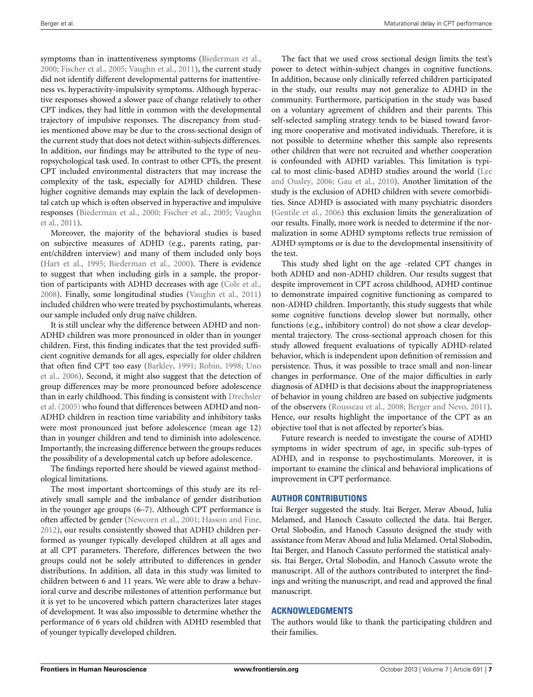symptoms than in inattentiveness symptoms [\(Biederman et al.,](#page-7-26) [2000](#page-7-26); [Fischer et al.](#page-7-22), [2005](#page-7-22); [Vaughn et al., 2011\)](#page-8-15), the current study did not identify different developmental patterns for inattentiveness vs. hyperactivity-impulsivity symptoms. Although hyperactive responses showed a slower pace of change relatively to other CPT indices, they had little in common with the developmental trajectory of impulsive responses. The discrepancy from studies mentioned above may be due to the cross-sectional design of the current study that does not detect within-subjects differences. In addition, our findings may be attributed to the type of neuropsychological task used. In contrast to other CPTs, the present CPT included environmental distracters that may increase the complexity of the task, especially for ADHD children. These higher cognitive demands may explain the lack of developmental catch up which is often observed in hyperactive and impulsive resp[onses](#page-8-15) [\(Biederman et al.](#page-7-26)[,](#page-8-15) [2000](#page-7-26)[;](#page-8-15) [Fischer et al.](#page-7-22)[,](#page-8-15) [2005](#page-7-22)[;](#page-8-15) Vaughn et al., [2011\)](#page-8-15).

Moreover, the majority of the behavioral studies is based on subjective measures of ADHD (e.g., parents rating, parent/children interview) and many of them included only boys [\(Hart et al., 1995](#page-7-3); [Biederman et al., 2000](#page-7-26)). There is evidence to suggest that when including girls in a sample, the proportion of participants with ADHD decreases with age [\(Cole et al.,](#page-7-31) [2008](#page-7-31)). Finally, some longitudinal studies [\(Vaughn et al.](#page-8-15), [2011](#page-8-15)) included children who were treated by psychostimulants, whereas our sample included only drug naïve children.

It is still unclear why the difference between ADHD and non-ADHD children was more pronounced in older than in younger children. First, this finding indicates that the test provided sufficient cognitive demands for all ages, especially for older children that [often find CPT too easy](#page-8-20) [\(Barkley](#page-7-32)[,](#page-8-20) [1991](#page-7-32)[;](#page-8-20) [Robin](#page-8-19)[,](#page-8-20) [1998;](#page-8-19) Uno et al., [2006\)](#page-8-20). Second, it might also suggest that the detection of group differences may be more pronounced before adolescence than [in early childhood. This finding is consistent with](#page-7-30) Drechsler et al. [\(2005](#page-7-30)) who found that differences between ADHD and non-ADHD children in reaction time variability and inhibitory tasks were most pronounced just before adolescence (mean age 12) than in younger children and tend to diminish into adolescence. Importantly, the increasing difference between the groups reduces the possibility of a developmental catch up before adolescence.

The findings reported here should be viewed against methodological limitations.

The most important shortcomings of this study are its relatively small sample and the imbalance of gender distribution in the younger age groups (6–7). Although CPT performance is often affected by gender [\(Newcorn et al., 2001;](#page-8-21) [Hasson and Fine,](#page-7-33) [2012](#page-7-33)), our results consistently showed that ADHD children performed as younger typically developed children at all ages and at all CPT parameters. Therefore, differences between the two groups could not be solely attributed to differences in gender distributions. In addition, all data in this study was limited to children between 6 and 11 years. We were able to draw a behavioral curve and describe milestones of attention performance but it is yet to be uncovered which pattern characterizes later stages of development. It was also impossible to determine whether the performance of 6 years old children with ADHD resembled that of younger typically developed children.

The fact that we used cross sectional design limits the test's power to detect within-subject changes in cognitive functions. In addition, because only clinically referred children participated in the study, our results may not generalize to ADHD in the community. Furthermore, participation in the study was based on a voluntary agreement of children and their parents. This self-selected sampling strategy tends to be biased toward favoring more cooperative and motivated individuals. Therefore, it is not possible to determine whether this sample also represents other children that were not recruited and whether cooperation is confounded with ADHD variables. This limitation is typical to mos[t clinic-based ADHD studies around the world \(](#page-7-34)Lee and Ousley, [2006;](#page-7-34) [Gau et al.](#page-7-35), [2010](#page-7-35)). Another limitation of the study is the exclusion of ADHD children with severe comorbidities. Since ADHD is associated with many psychiatric disorders [\(Gentile et al.](#page-7-36), [2006](#page-7-36)) this exclusion limits the generalization of our results. Finally, more work is needed to determine if the normalization in some ADHD symptoms reflects true remission of ADHD symptoms or is due to the developmental insensitivity of the test.

This study shed light on the age -related CPT changes in both ADHD and non-ADHD children. Our results suggest that despite improvement in CPT across childhood, ADHD continue to demonstrate impaired cognitive functioning as compared to non-ADHD children. Importantly, this study suggests that while some cognitive functions develop slower but normally, other functions (e.g., inhibitory control) do not show a clear developmental trajectory. The cross-sectional approach chosen for this study allowed frequent evaluations of typically ADHD-related behavior, which is independent upon definition of remission and persistence. Thus, it was possible to trace small and non-linear changes in performance. One of the major difficulties in early diagnosis of ADHD is that decisions about the inappropriateness of behavior in young children are based on subjective judgments of the observers [\(Rousseau et al., 2008;](#page-8-22) [Berger and Nevo, 2011](#page-7-37)). Hence, our results highlight the importance of the CPT as an objective tool that is not affected by reporter's bias.

Future research is needed to investigate the course of ADHD symptoms in wider spectrum of age, in specific sub-types of ADHD, and in response to psychostimulants. Moreover, it is important to examine the clinical and behavioral implications of improvement in CPT performance.

#### **AUTHOR CONTRIBUTIONS**

Itai Berger suggested the study. Itai Berger, Merav Aboud, Julia Melamed, and Hanoch Cassuto collected the data. Itai Berger, Ortal Slobodin, and Hanoch Cassuto designed the study with assistance from Merav Aboud and Julia Melamed. Ortal Slobodin, Itai Berger, and Hanoch Cassuto performed the statistical analysis. Itai Berger, Ortal Slobodin, and Hanoch Cassuto wrote the manuscript. All of the authors contributed to interpret the findings and writing the manuscript, and read and approved the final manuscript.

## **ACKNOWLEDGMENTS**

The authors would like to thank the participating children and their families.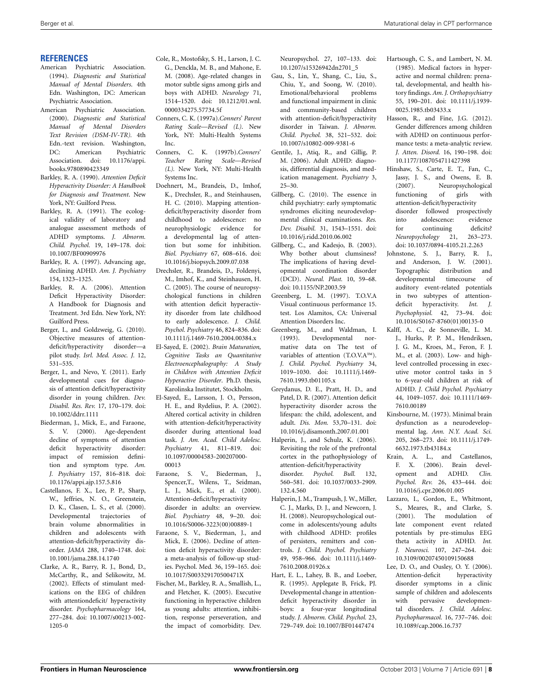#### **REFERENCES**

- American Psychiatric Association. (1994). *Diagnostic and Statistical Manual of Mental Disorders*. 4th Edn. Washington, DC: American Psychiatric Association.
- <span id="page-7-0"></span>American Psychiatric Association. (2000). *Diagnostic and Statistical Manual of Mental Disorders Text Revision (DSM-IV-TR).* 4th Edn.-text revision. Washington,<br>DC: American Psychiatric American Psychiatric Association. doi: 10.1176/appi. books.9780890423349
- <span id="page-7-5"></span>Barkley, R. A. (1990). *Attention Deficit Hyperactivity Disorder: A Handbook for Diagnosis and Treatment*. New York, NY: Guilford Press.
- <span id="page-7-32"></span>Barkley, R. A. (1991). The ecological validity of laboratory and analogue assessment methods of ADHD symptoms. *J. Abnorm. Child. Psychol.* 19, 149–178. doi: 10.1007/BF00909976
- <span id="page-7-6"></span>Barkley, R. A. (1997). Advancing age, declining ADHD. *Am. J. Psychiatry* 154, 1323–1325.
- <span id="page-7-1"></span>Barkley, R. A. (2006). Attention Deficit Hyperactivity Disorder: A Handbook for Diagnosis and Treatment. 3rd Edn*.* New York, NY: Guilford Press.
- <span id="page-7-29"></span>Berger, I., and Goldzweig, G. (2010). Objective measures of attentiondeficit/hyperactivity disorder—a pilot study. *Isrl. Med. Assoc. J.* 12, 531–535.
- <span id="page-7-37"></span>Berger, I., and Nevo, Y. (2011). Early developmental cues for diagnosis of attention deficit/hyperactivity disorder in young children. *Dev. Disabil. Res. Rev.* 17, 170–179. doi: 10.1002/ddrr.1111
- <span id="page-7-26"></span>Biederman, J., Mick, E., and Faraone, S. V. (2000). Age-dependent decline of symptoms of attention deficit hyperactivity disorder: impact of remission definition and symptom type. *Am. J. Psychiatry* 157, 816–818. doi: 10.1176/appi.ajp.157.5.816
- <span id="page-7-21"></span>Castellanos, F. X., Lee, P. P., Sharp, W., Jeffries, N. O., Greenstein, D. K., Clasen, L. S., et al. (2000). Developmental trajectories of brain volume abnormalities in children and adolescents with attention-deficit/hyperactivity disorder. *JAMA* 288, 1740–1748. doi: 10.1001/jama.288.14.1740
- <span id="page-7-17"></span>Clarke, A. R., Barry, R. J., Bond, D., McCarthy, R., and Selikowitz, M. (2002). Effects of stimulant medications on the EEG of children with attentiondeficit/ hyperactivity disorder. *Psychopharmacology* 164, 277–284. doi: 10.1007/s00213-002- 1205-0
- <span id="page-7-31"></span>Cole, R., Mostofsky, S. H., Larson, J. C. G., Denckla, M. B., and Mahone, E. M. (2008). Age-related changes in motor subtle signs among girls and boys with ADHD. *Neurology* 71, 1514–1520. doi: 10.1212/01.wnl. 0000334275.57734.5f
- <span id="page-7-27"></span>Conners, C. K. (1997a).*Conners*' *Parent Rating Scale—Revised (L)*. New York, NY: Multi-Health Systems Inc.
- <span id="page-7-28"></span>Conners, C. K. (1997b).*Conners*' *Teacher Rating Scale—Revised (L).* New York, NY: Multi-Health Systems Inc.
- <span id="page-7-19"></span>Doehnert, M., Brandeis, D., Imhof, K., Drechsler, R., and Steinhausen, H. C. (2010). Mapping attentiondeficit/hyperactivity disorder from childhood to adolescence: no neurophysiologic evidence for a developmental lag of attention but some for inhibition. *Biol. Psychiatry* 67, 608–616. doi: 10.1016/j.biopsych.2009.07.038
- <span id="page-7-30"></span>Drechsler, R., Brandeis, D., Foldenyi, M., Imhof, K., and Steinhausen, H. C. (2005). The course of neuropsychological functions in children with attention deficit hyperactivity disorder from late childhood to early adolescence. *J. Child. Psychol. Psychiatry* 46, 824–836. doi: 10.1111/j.1469-7610.2004.00384.x
- <span id="page-7-14"></span>El-Sayed, E. (2002). *Brain Maturation, Cognitive Tasks an Quantitative Electroencephalography: A Study in Children with Attention Deficit Hyperactive Disorder*. Ph.D. thesis, Karolinska Institutet, Stockholm.
- <span id="page-7-18"></span>El-Sayed, E., Larsson, J. O., Persson, H. E., and Rydelius, P. A. (2002). Altered cortical activity in children with attention-deficit/hyperactivity disorder during attentional load task. *J. Am. Acad. Child Adolesc. Psychiatry* 41, 811–819. doi: 10.1097/00004583-200207000- 00013
- <span id="page-7-12"></span>Faraone, S. V., Biederman, J., Spencer,T., Wilens, T., Seidman, L. J., Mick, E., et al. (2000). Attention-deficit/hyperactivity disorder in adults: an overview. *Biol. Psychiatry* 48, 9–20. doi: 10.1016/S0006-3223(00)00889-1
- <span id="page-7-4"></span>Faraone, S. V., Biederman, J., and Mick, E. (2006). Decline of attention deficit hyperactivity disorder: a meta-analysis of follow-up studies. Psychol. Med*.* 36, 159–165. doi: 10.1017/S003329170500471X
- <span id="page-7-22"></span>Fischer, M., Barkley, R. A., Smallish, L., and Fletcher, K. (2005). Executive functioning in hyperactive children as young adults: attention, inhibition, response perseveration, and the impact of comorbidity. Dev.

Neuropsychol. 27, 107–133*.* doi: 10.1207/s15326942dn2701\_5

- <span id="page-7-35"></span>Gau, S., Lin, Y., Shang, C., Liu, S., Chiu, Y., and Soong, W. (2010). Emotional/behavioral problems and functional impairment in clinic and community-based children with attention-deficit/hyperactivity disorder in Taiwan. *J. Abnorm. Child. Psychol.* 38, 521–532. doi: 10.1007/s10802-009-9381-6
- <span id="page-7-36"></span>Gentile, J., Atiq, R., and Gillig, P. M. (2006). Adult ADHD: diagnosis, differential diagnosis, and medication management. *Psychiatry* 3, 25–30.
- <span id="page-7-7"></span>Gillberg, C. (2010). The essence in child psychiatry: early symptomatic syndromes eliciting neurodevelopmental clinical examinations. *Res. Dev. Disabil.* 31, 1543–1551. doi: 10.1016/j.ridd.2010.06.002
- <span id="page-7-9"></span>Gillberg, C., and Kadesjo, B. (2003). Why bother about clumsiness? The implications of having developmental coordination disorder (DCD). *Neural. Plast.* 10, 59–68. doi: 10.1155/NP.2003.59
- <span id="page-7-38"></span>Greenberg, L. M. (1997). T.O.V.A Visual continuous performance 15. test. Los Alamitos, CA: Universal Attention Disorders Inc.
- <span id="page-7-2"></span>Greenberg, M., and Waldman, I. (1993). Developmental normative data on The test of variables of attention (T.O.V.A™). *J. Child. Psychol. Psychiatry* 34, 1019–1030. doi: 10.1111/j.1469- 7610.1993.tb01105.x
- <span id="page-7-11"></span>Greydanus, D. E., Pratt, H. D., and Patel, D. R. (2007). Attention deficit hyperactivity disorder across the lifespan: the child, adolescent, and adult. *Dis. Mon.* 53,70–131. doi: 10.1016/j.disamonth.2007.01.001
- <span id="page-7-25"></span>Halperin, J., and Schulz, K. (2006). Revisiting the role of the prefrontal cortex in the pathophysiology of attention-deficit/hyperactivity disorder. *Psychol. Bull.* 132, 560–581. doi: 10.1037/0033-2909. 132.4.560
- <span id="page-7-23"></span>Halperin, J. M., Trampush, J. W., Miller, C. J., Marks, D. J., and Newcorn, J. H. (2008). Neuropsychological outcome in adolescents/young adults with childhood ADHD: profiles of persisters, remitters and controls. *J. Child. Psychol. Psychiatry* 49, 958–966. doi: 10.1111/j.1469- 7610.2008.01926.x
- <span id="page-7-3"></span>Hart, E. L., Lahey, B. B., and Loeber, R. (1995). Applegate B, Frick, PJ. Developmental change in attentiondeficit hyperactivity disorder in boys: a four-year longitudinal study. *J. Abnorm. Child. Psychol.* 23, 729–749. doi: 10.1007/BF01447474
- <span id="page-7-8"></span>Hartsough, C. S., and Lambert, N. M. (1985). Medical factors in hyperactive and normal children: prenatal, developmental, and health history findings. *Am. J. Orthopsychiatry* 55, 190–201. doi: 10.1111/j.1939- 0025.1985.tb03433.x
- <span id="page-7-33"></span>Hasson, R., and Fine, J.G. (2012). Gender differences among children with ADHD on continuous performance tests: a meta-analytic review. *J. Atten. Disord.* 16, 190–198. doi: 10.1177/1087054711427398
- <span id="page-7-24"></span>Hinshaw, S., Carte, E. T., Fan, C., Jassy, J. S., and Owens, E. B. (2007). Neuropsychological functioning of girls with attention-deficit/hyperactivity disorder followed prospectively into adolescence: evidence<br>for continuing deficits? continuing *Neuropsychology* 21, 263–273. doi: 10.1037/0894-4105.21.2.263
- <span id="page-7-20"></span>Johnstone, S. J., Barry, R. J., and Anderson, J. W. (2001). Topographic distribution and developmental timecourse of auditory event-related potentials in two subtypes of attentiondeficit hyperactivity. *Int. J. Psychophysiol.* 42, 73–94. doi: 10.1016/S0167-8760(01)00135-0
- <span id="page-7-10"></span>Kalff, A. C., de Sonneville, L. M. J., Hurks, P. P. M., Hendriksen, J. G. M., Kroes, M., Feron, F. J. M., et al. (2003). Low- and highlevel controlled processing in executive motor control tasks in 5 to 6-year-old children at risk of ADHD. *J. Child Psychol. Psychiatry* 44, 1049–1057. doi: 10.1111/1469- 7610.00189
- <span id="page-7-13"></span>Kinsbourne, M. (1973). Minimal brain dysfunction as a neurodevelopmental lag. *Ann. N.Y. Acad. Sci.* 205, 268–273. doi: 10.1111/j.1749- 6632.1973.tb43184.x
- <span id="page-7-15"></span>Krain, A. L., and Castellanos, F. X. (2006). Brain development and ADHD. *Clin. Psychol. Rev.* 26, 433–444. doi: 10.1016/j.cpr.2006.01.005
- <span id="page-7-16"></span>Lazzaro, I., Gordon, E., Whitmont, S., Meares, R., and Clarke, S. (2001). The modulation of late component event related potentials by pre-stimulus EEG theta activity in ADHD. *Int. J. Neurosci.* 107, 247–264. doi: 10.3109/00207450109150688
- <span id="page-7-34"></span>Lee, D. O., and Ousley, O. Y. (2006). Attention-deficit hyperactivity disorder symptoms in a clinic sample of children and adolescents with pervasive developmental disorders. *J. Child. Adolesc. Psychopharmacol.* 16, 737–746. doi: 10.1089/cap.2006.16.737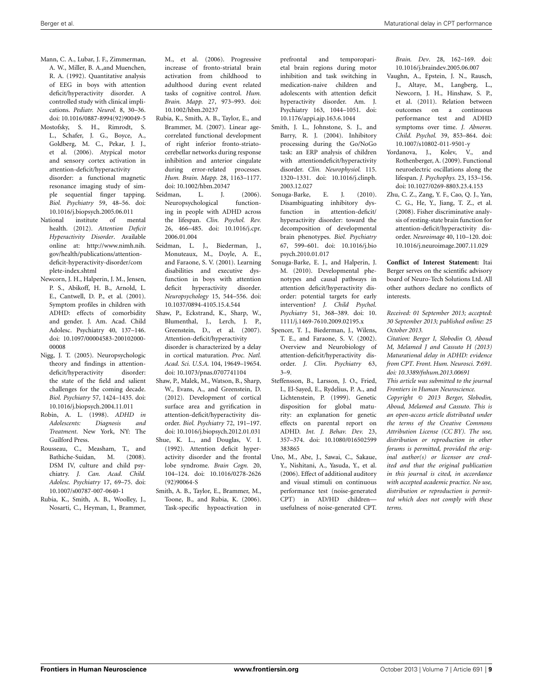- <span id="page-8-7"></span>Mann, C. A., Lubar, J. F., Zimmerman, A. W., Miller, B. A.,and Muenchen, R. A. (1992). Quantitative analysis of EEG in boys with attention deficit/hyperactivity disorder. A controlled study with clinical implications. *Pediatr. Neurol.* 8, 30–36. doi: 10.1016/0887-8994(92)90049-5
- <span id="page-8-11"></span>Mostofsky, S. H., Rimrodt, S. L., Schafer, J. G., Boyce, A., Goldberg, M. C., Pekar, J. J., et al. (2006). Atypical motor and sensory cortex activation in attention-deficit/hyperactivity disorder: a functional magnetic resonance imaging study of simple sequential finger tapping. *Biol. Psychiatry* 59, 48–56. doi: 10.1016/j.biopsych.2005.06.011
- <span id="page-8-23"></span>National institute of mental health. (2012). *Attention Deficit Hyperactivity Disorder*. Available online at: [http://www.nimh.nih.](http://www.nimh.nih.gov/health/publications/attention-deficit-hyperactivity-disorder/complete-index.shtml) [gov/health/publications/attention](http://www.nimh.nih.gov/health/publications/attention-deficit-hyperactivity-disorder/complete-index.shtml)[deficit-hyperactivity-disorder/com](http://www.nimh.nih.gov/health/publications/attention-deficit-hyperactivity-disorder/complete-index.shtml) [plete-index.shtml](http://www.nimh.nih.gov/health/publications/attention-deficit-hyperactivity-disorder/complete-index.shtml)
- <span id="page-8-21"></span>Newcorn, J. H., Halperin, J. M., Jensen, P. S., Abikoff, H. B., Arnold, L. E., Cantwell, D. P., et al. (2001). Symptom profiles in children with ADHD: effects of comorbidity and gender. J. Am. Acad. Child Adolesc. Psychiatry 40, 137–146. doi: 10.1097/00004583-200102000- 00008
- <span id="page-8-13"></span>Nigg, J. T. (2005). Neuropsychologic theory and findings in attentiondeficit/hyperactivity disorder: the state of the field and salient challenges for the coming decade. *Biol. Psychiatry* 57, 1424–1435. doi: 10.1016/j.biopsych.2004.11.011
- <span id="page-8-19"></span>Robin, A. L. (1998). *ADHD in Adolescents: Diagnosis and Treatment*. New York, NY: The Guilford Press.
- <span id="page-8-22"></span>Rousseau, C., Measham, T., and Bathiche-Suidan, M. (2008). DSM IV, culture and child psychiatry. *J. Can. Acad. Child. Adolesc. Psychiatry* 17, 69–75. doi: 10.1007/s00787-007-0640-1
- <span id="page-8-4"></span>Rubia, K., Smith, A. B., Woolley, J., Nosarti, C., Heyman, I., Brammer,

M., et al. (2006). Progressive increase of fronto-striatal brain activation from childhood to adulthood during event related tasks of cognitive control. *Hum. Brain. Mapp.* 27, 973–993. doi: 10.1002/hbm.20237

- <span id="page-8-8"></span>Rubia, K., Smith, A. B., Taylor, E., and Brammer, M. (2007). Linear agecorrelated functional development of right inferior fronto-striatocerebellar networks during response inhibition and anterior cingulate during error-related processes. *Hum. Brain. Mapp.* 28, 1163–1177. doi: 10.1002/hbm.20347
- <span id="page-8-14"></span>Seidman, L. J. (2006). Neuropsychological functioning in people with ADHD across the lifespan. *Clin. Psychol. Rev.* 26, 466–485. doi: 10.1016/j.cpr. 2006.01.004
- <span id="page-8-17"></span>Seidman, L. J., Biederman, J., Monuteaux, M., Doyle, A. E., and Faraone, S. V. (2001). Learning disabilities and executive dysfunction in boys with attention deficit hyperactivity disorder. *Neuropsychology* 15, 544–556. doi: 10.1037/0894-4105.15.4.544
- <span id="page-8-2"></span>Shaw, P., Eckstrand, K., Sharp, W., Blumenthal, J., Lerch, J. P., Greenstein, D., et al. (2007). Attention-deficit/hyperactivity disorder is characterized by a delay in cortical maturation. *Proc. Natl. Acad. Sci. U.S.A.* 104, 19649–19654. doi: 10.1073/pnas.0707741104
- <span id="page-8-3"></span>Shaw, P., Malek, M., Watson, B., Sharp, W., Evans, A., and Greenstein, D. (2012). Development of cortical surface area and gyrification in attention-deficit/hyperactivity disorder. *Biol. Psychiatry* 72, 191–197. doi: 10.1016/j.biopsych.2012.01.031
- <span id="page-8-9"></span>Shue, K. L., and Douglas, V. I. (1992). Attention deficit hyperactivity disorder and the frontal lobe syndrome. *Brain Cogn.* 20, 104–124. doi: 10.1016/0278-2626 (92)90064-S
- <span id="page-8-5"></span>Smith, A. B., Taylor, E., Brammer, M., Toone, B., and Rubia, K. (2006). Task-specific hypoactivation in

prefrontal and temporoparietal brain regions during motor inhibition and task switching in medication-naive children and adolescents with attention deficit hyperactivity disorder. Am. J. Psychiatry 163, 1044–1051. doi: 10.1176/appi.ajp.163.6.1044

- <span id="page-8-10"></span>Smith, J. L., Johnstone, S. J., and Barry, R. J. (2004). Inhibitory processing during the Go/NoGo task: an ERP analysis of children with attentiondeficit/hyperactivity disorder. *Clin. Neurophysiol.* 115. 1320–1331. doi: 10.1016/j.clinph. 2003.12.027
- <span id="page-8-18"></span>Sonuga-Barke, E. J. (2010). Disambiguating inhibitory dysfunction in attention-deficit/ hyperactivity disorder: toward the decomposition of developmental brain phenotypes. *Biol. Psychiatry* 67, 599–601. doi: 10.1016/j.bio psych.2010.01.017
- <span id="page-8-0"></span>Sonuga-Barke, E. J., and Halperin, J. M. (2010). Developmental phenotypes and causal pathways in attention deficit/hyperactivity disorder: potential targets for early intervention? *J. Child Psychol. Psychiatry* 51, 368–389. doi: 10. 1111/j.1469-7610.2009.02195.x
- <span id="page-8-16"></span>Spencer, T. J., Biederman, J., Wilens, T. E., and Faraone, S. V. (2002). Overview and Neurobiology of attention-deficit/hyperactivity disorder. *J. Clin. Psychiatry* 63, 3–9.
- <span id="page-8-1"></span>Steffensson, B., Larsson, J. O., Fried, I., El-Sayed, E., Rydelius, P. A., and Lichtenstein, P. (1999). Genetic disposition for global maturity: an explanation for genetic effects on parental report on ADHD. *Int. J. Behav. Dev.* 23, 357–374. doi: 10.1080/016502599 383865
- <span id="page-8-20"></span>Uno, M., Abe, J., Sawai, C., Sakaue, Y., Nishitani, A., Yasuda, Y., et al. (2006). Effect of additional auditory and visual stimuli on continuous performance test (noise-generated CPT) in AD/HD children usefulness of noise-generated CPT.

*Brain. Dev*. 28, 162–169. doi: 10.1016/j.braindev.2005.06.007

- <span id="page-8-15"></span>Vaughn, A., Epstein, J. N., Rausch, J., Altaye, M., Langberg, L., Newcorn, J. H., Hinshaw, S. P., et al. (2011). Relation between outcomes on a continuous performance test and ADHD symptoms over time. *J. Abnorm. Child. Psychol.* 39, 853–864. doi: 10.1007/s10802-011-9501-y
- <span id="page-8-6"></span>Yordanova, J., Kolev, V., and Rothenberger, A. (2009). Functional neuroelectric oscillations along the lifespan. *J. Psychophys.* 23, 153–156. doi: 10.1027/0269-8803.23.4.153
- <span id="page-8-12"></span>Zhu, C. Z., Zang, Y. F., Cao, Q. J., Yan, C. G., He, Y., Jiang, T. Z., et al. (2008). Fisher discriminative analysis of resting-state brain function for attention-deficit/hyperactivity disorder. *Neuroimage* 40, 110–120. doi: 10.1016/j.neuroimage.2007.11.029

**Conflict of Interest Statement:** Itai Berger serves on the scientific advisory board of Neuro-Tech Solutions Ltd. All other authors declare no conflicts of interests.

*Received: 01 September 2013; accepted: 30 September 2013; published online: 25 October 2013.*

*Citation: Berger I, Slobodin O, Aboud M, Melamed J and Cassuto H (2013) Maturational delay in ADHD: evidence from CPT. Front. Hum. Neurosci. 7:691. doi: [10.3389/fnhum.2013.00691](http://dx.doi.org/10.3389/fnhum.2013.00691)*

*This article was submitted to the journal Frontiers in Human Neuroscience.*

*Copyright © 2013 Berger, Slobodin, Aboud, Melamed and Cassuto. This is an open-access article distributed under the terms of the [Creative Commons](http://creativecommons.org/licenses/by/3.0/) [Attribution License \(CC BY\).](http://creativecommons.org/licenses/by/3.0/) The use, distribution or reproduction in other forums is permitted, provided the original author(s) or licensor are credited and that the original publication in this journal is cited, in accordance with accepted academic practice. No use, distribution or reproduction is permitted which does not comply with these terms.*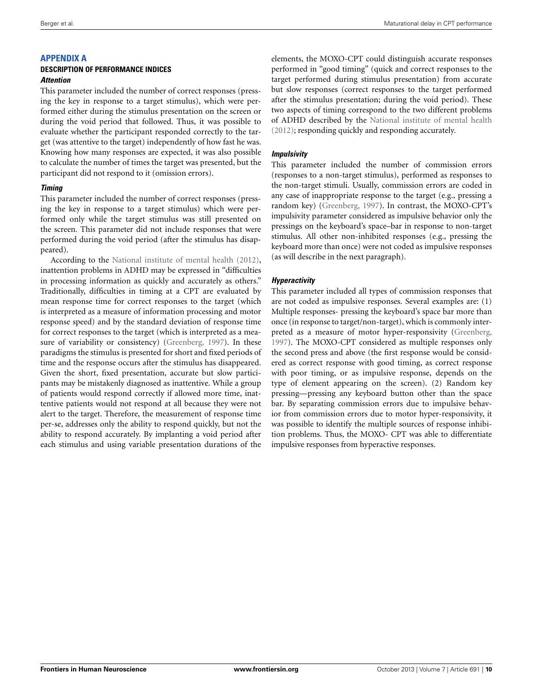# **APPENDIX A**

#### **DESCRIPTION OF PERFORMANCE INDICES** *Attention*

This parameter included the number of correct responses (pressing the key in response to a target stimulus), which were performed either during the stimulus presentation on the screen or during the void period that followed. Thus, it was possible to evaluate whether the participant responded correctly to the target (was attentive to the target) independently of how fast he was. Knowing how many responses are expected, it was also possible to calculate the number of times the target was presented, but the participant did not respond to it (omission errors).

#### *Timing*

This parameter included the number of correct responses (pressing the key in response to a target stimulus) which were performed only while the target stimulus was still presented on the screen. This parameter did not include responses that were performed during the void period (after the stimulus has disappeared).

According to the [National institute of mental health](#page-8-23) [\(2012\)](#page-8-23), inattention problems in ADHD may be expressed in "difficulties in processing information as quickly and accurately as others." Traditionally, difficulties in timing at a CPT are evaluated by mean response time for correct responses to the target (which is interpreted as a measure of information processing and motor response speed) and by the standard deviation of response time for correct responses to the target (which is interpreted as a measure of variability or consistency) [\(Greenberg, 1997](#page-7-38)). In these paradigms the stimulus is presented for short and fixed periods of time and the response occurs after the stimulus has disappeared. Given the short, fixed presentation, accurate but slow participants may be mistakenly diagnosed as inattentive. While a group of patients would respond correctly if allowed more time, inattentive patients would not respond at all because they were not alert to the target. Therefore, the measurement of response time per-se, addresses only the ability to respond quickly, but not the ability to respond accurately. By implanting a void period after each stimulus and using variable presentation durations of the

elements, the MOXO-CPT could distinguish accurate responses performed in "good timing" (quick and correct responses to the target performed during stimulus presentation) from accurate but slow responses (correct responses to the target performed after the stimulus presentation; during the void period). These two aspects of timing correspond to the two different problems of ADHD described by the [National institute of mental health](#page-8-23) [\(2012\)](#page-8-23); responding quickly and responding accurately.

#### *Impulsivity*

This parameter included the number of commission errors (responses to a non-target stimulus), performed as responses to the non-target stimuli. Usually, commission errors are coded in any case of inappropriate response to the target (e.g., pressing a random key) [\(Greenberg, 1997\)](#page-7-38). In contrast, the MOXO-CPT's impulsivity parameter considered as impulsive behavior only the pressings on the keyboard's space–bar in response to non-target stimulus. All other non-inhibited responses (e.g., pressing the keyboard more than once) were not coded as impulsive responses (as will describe in the next paragraph).

#### *Hyperactivity*

This parameter included all types of commission responses that are not coded as impulsive responses. Several examples are: (1) Multiple responses- pressing the keyboard's space bar more than once (in response to target/non-target), which is commonly interpreted as a measure of motor hyper-responsivity [\(Greenberg](#page-7-38), [1997](#page-7-38)). The MOXO-CPT considered as multiple responses only the second press and above (the first response would be considered as correct response with good timing, as correct response with poor timing, or as impulsive response, depends on the type of element appearing on the screen). (2) Random key pressing—pressing any keyboard button other than the space bar. By separating commission errors due to impulsive behavior from commission errors due to motor hyper-responsivity, it was possible to identify the multiple sources of response inhibition problems. Thus, the MOXO- CPT was able to differentiate impulsive responses from hyperactive responses.